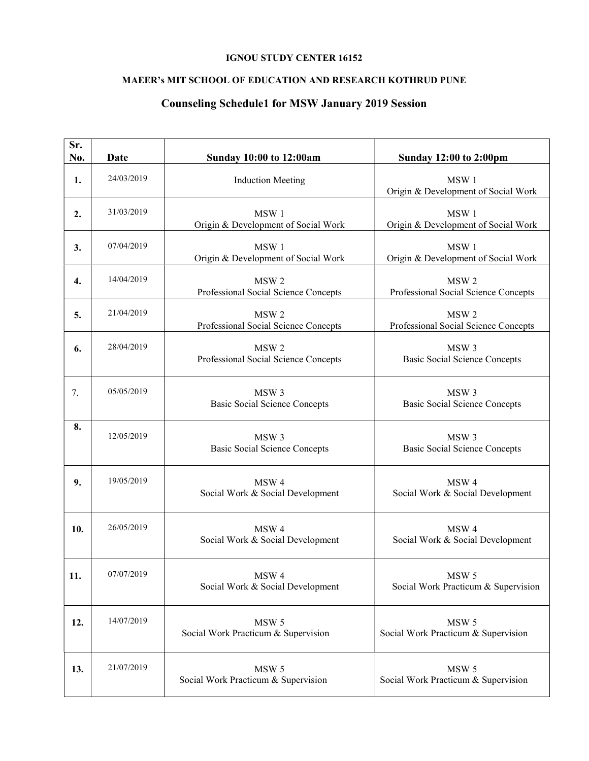## IGNOU STUDY CENTER 16152

## MAEER's MIT SCHOOL OF EDUCATION AND RESEARCH KOTHRUD PUNE

## Counseling Schedule1 for MSW January 2019 Session

| Sr.<br>No. | Date       | <b>Sunday 10:00 to 12:00am</b>                           | <b>Sunday 12:00 to 2:00pm</b>                            |
|------------|------------|----------------------------------------------------------|----------------------------------------------------------|
| 1.         | 24/03/2019 | <b>Induction Meeting</b>                                 | MSW 1<br>Origin & Development of Social Work             |
| 2.         | 31/03/2019 | MSW 1<br>Origin & Development of Social Work             | MSW1<br>Origin & Development of Social Work              |
| 3.         | 07/04/2019 | MSW1<br>Origin & Development of Social Work              | MSW1<br>Origin & Development of Social Work              |
| 4.         | 14/04/2019 | MSW <sub>2</sub><br>Professional Social Science Concepts | MSW <sub>2</sub><br>Professional Social Science Concepts |
| 5.         | 21/04/2019 | MSW <sub>2</sub><br>Professional Social Science Concepts | MSW <sub>2</sub><br>Professional Social Science Concepts |
| 6.         | 28/04/2019 | MSW <sub>2</sub><br>Professional Social Science Concepts | MSW <sub>3</sub><br><b>Basic Social Science Concepts</b> |
| 7.         | 05/05/2019 | MSW <sub>3</sub><br><b>Basic Social Science Concepts</b> | MSW <sub>3</sub><br><b>Basic Social Science Concepts</b> |
| 8.         | 12/05/2019 | MSW <sub>3</sub><br><b>Basic Social Science Concepts</b> | MSW <sub>3</sub><br><b>Basic Social Science Concepts</b> |
| 9.         | 19/05/2019 | MSW <sub>4</sub><br>Social Work & Social Development     | MSW <sub>4</sub><br>Social Work & Social Development     |
| 10.        | 26/05/2019 | MSW <sub>4</sub><br>Social Work & Social Development     | MSW <sub>4</sub><br>Social Work & Social Development     |
| 11.        | 07/07/2019 | MSW 4<br>Social Work & Social Development                | MSW <sub>5</sub><br>Social Work Practicum & Supervision  |
| 12.        | 14/07/2019 | MSW 5<br>Social Work Practicum & Supervision             | MSW 5<br>Social Work Practicum & Supervision             |
| 13.        | 21/07/2019 | MSW 5<br>Social Work Practicum & Supervision             | MSW <sub>5</sub><br>Social Work Practicum & Supervision  |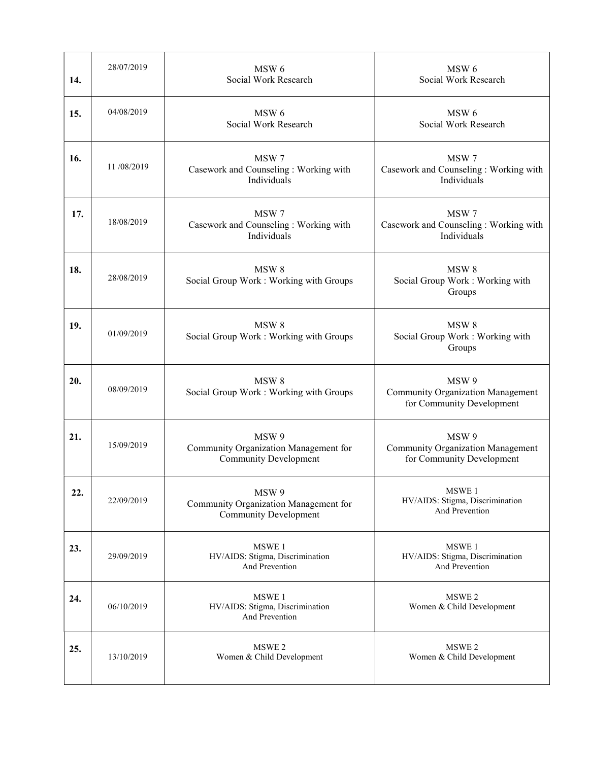| 14. | 28/07/2019 | MSW 6<br>Social Work Research                                                  | MSW 6<br>Social Work Research                                                  |
|-----|------------|--------------------------------------------------------------------------------|--------------------------------------------------------------------------------|
| 15. | 04/08/2019 | MSW 6<br>Social Work Research                                                  | MSW <sub>6</sub><br>Social Work Research                                       |
| 16. | 11/08/2019 | MSW 7<br>Casework and Counseling: Working with<br>Individuals                  | MSW 7<br>Casework and Counseling: Working with<br>Individuals                  |
| 17. | 18/08/2019 | MSW 7<br>Casework and Counseling : Working with<br>Individuals                 | MSW 7<br>Casework and Counseling: Working with<br>Individuals                  |
| 18. | 28/08/2019 | MSW <sub>8</sub><br>Social Group Work: Working with Groups                     | MSW <sub>8</sub><br>Social Group Work : Working with<br>Groups                 |
| 19. | 01/09/2019 | MSW <sub>8</sub><br>Social Group Work: Working with Groups                     | MSW <sub>8</sub><br>Social Group Work : Working with<br>Groups                 |
| 20. | 08/09/2019 | MSW <sub>8</sub><br>Social Group Work: Working with Groups                     | MSW 9<br><b>Community Organization Management</b><br>for Community Development |
| 21. | 15/09/2019 | MSW 9<br>Community Organization Management for<br><b>Community Development</b> | MSW 9<br><b>Community Organization Management</b><br>for Community Development |
| 22. | 22/09/2019 | MSW 9<br>Community Organization Management for<br><b>Community Development</b> | MSWE 1<br>HV/AIDS: Stigma, Discrimination<br>And Prevention                    |
| 23. | 29/09/2019 | MSWE 1<br>HV/AIDS: Stigma, Discrimination<br>And Prevention                    | MSWE 1<br>HV/AIDS: Stigma, Discrimination<br>And Prevention                    |
| 24. | 06/10/2019 | MSWE 1<br>HV/AIDS: Stigma, Discrimination<br>And Prevention                    | MSWE <sub>2</sub><br>Women & Child Development                                 |
| 25. | 13/10/2019 | MSWE <sub>2</sub><br>Women & Child Development                                 | MSWE 2<br>Women & Child Development                                            |